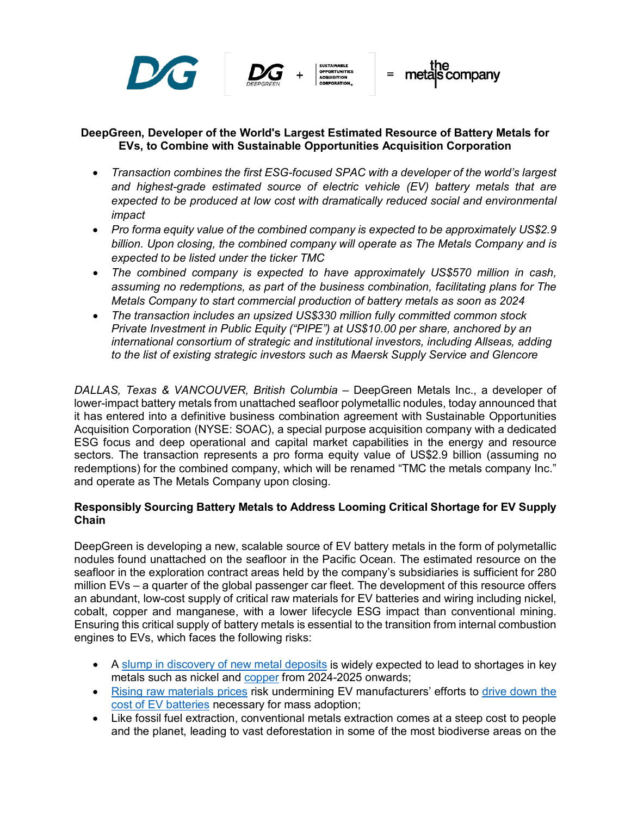

### **DeepGreen, Developer of the World's Largest Estimated Resource of Battery Metals for EVs, to Combine with Sustainable Opportunities Acquisition Corporation**

- *Transaction combines the first ESG-focused SPAC with a developer of the world's largest and highest-grade estimated source of electric vehicle (EV) battery metals that are expected to be produced at low cost with dramatically reduced social and environmental impact*
- *Pro forma equity value of the combined company is expected to be approximately US\$2.9 billion. Upon closing, the combined company will operate as The Metals Company and is expected to be listed under the ticker TMC*
- *The combined company is expected to have approximately US\$570 million in cash, assuming no redemptions, as part of the business combination, facilitating plans for The Metals Company to start commercial production of battery metals as soon as 2024*
- *The transaction includes an upsized US\$330 million fully committed common stock Private Investment in Public Equity ("PIPE") at US\$10.00 per share, anchored by an international consortium of strategic and institutional investors, including Allseas, adding to the list of existing strategic investors such as Maersk Supply Service and Glencore*

*DALLAS, Texas & VANCOUVER, British Columbia –* DeepGreen Metals Inc., a developer of lower-impact battery metals from unattached seafloor polymetallic nodules, today announced that it has entered into a definitive business combination agreement with Sustainable Opportunities Acquisition Corporation (NYSE: SOAC), a special purpose acquisition company with a dedicated ESG focus and deep operational and capital market capabilities in the energy and resource sectors. The transaction represents a pro forma equity value of US\$2.9 billion (assuming no redemptions) for the combined company, which will be renamed "TMC the metals company Inc." and operate as The Metals Company upon closing.

# **Responsibly Sourcing Battery Metals to Address Looming Critical Shortage for EV Supply Chain**

DeepGreen is developing a new, scalable source of EV battery metals in the form of polymetallic nodules found unattached on the seafloor in the Pacific Ocean. The estimated resource on the seafloor in the exploration contract areas held by the company's subsidiaries is sufficient for 280 million EVs – a quarter of the global passenger car fleet. The development of this resource offers an abundant, low-cost supply of critical raw materials for EV batteries and wiring including nickel, cobalt, copper and manganese, with a lower lifecycle ESG impact than conventional mining. Ensuring this critical supply of battery metals is essential to the transition from internal combustion engines to EVs, which faces the following risks:

- A [slump in discovery of new metal deposits](https://www.spglobal.com/marketintelligence/en/news-insights/blog/battery-grade-nickel-supply-will-suffer-as-major-nickel-discoveries-slump) is widely expected to lead to shortages in key metals such as nickel and [copper](https://www.woodmac.com/reports/metals-global-copper-long-term-outlook-q4-2020-455535) from 2024-2025 onwards;
- [Rising raw materials prices](https://www.benchmarkminerals.com/membership/the-battery-raw-material-class-of-2021-prices-rise-as-ev-upturn-and-commodity-supercycle-loom/) risk undermining EV manufacturers' efforts to drive down the [cost of EV batteries](https://www.benchmarkminerals.com/membership/lithium-ion-battery-cell-prices-fall-to-110-kwh-but-raw-material-risk-looms-large-2/) necessary for mass adoption;
- Like fossil fuel extraction, conventional metals extraction comes at a steep cost to people and the planet, leading to vast deforestation in some of the most biodiverse areas on the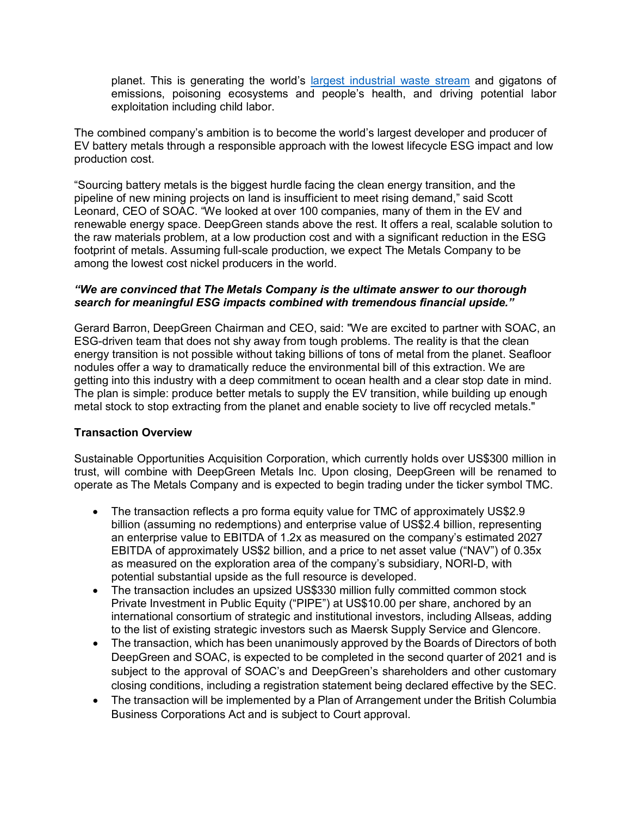planet. This is generating the world's [largest industrial waste stream](https://www.researchandmarkets.com/reports/5030724/mining-waste-management-global-market) and gigatons of emissions, poisoning ecosystems and people's health, and driving potential labor exploitation including child labor.

The combined company's ambition is to become the world's largest developer and producer of EV battery metals through a responsible approach with the lowest lifecycle ESG impact and low production cost.

"Sourcing battery metals is the biggest hurdle facing the clean energy transition, and the pipeline of new mining projects on land is insufficient to meet rising demand," said Scott Leonard, CEO of SOAC. "We looked at over 100 companies, many of them in the EV and renewable energy space. DeepGreen stands above the rest. It offers a real, scalable solution to the raw materials problem, at a low production cost and with a significant reduction in the ESG footprint of metals. Assuming full-scale production, we expect The Metals Company to be among the lowest cost nickel producers in the world.

## *"We are convinced that The Metals Company is the ultimate answer to our thorough search for meaningful ESG impacts combined with tremendous financial upside."*

Gerard Barron, DeepGreen Chairman and CEO, said: "We are excited to partner with SOAC, an ESG-driven team that does not shy away from tough problems. The reality is that the clean energy transition is not possible without taking billions of tons of metal from the planet. Seafloor nodules offer a way to dramatically reduce the environmental bill of this extraction. We are getting into this industry with a deep commitment to ocean health and a clear stop date in mind. The plan is simple: produce better metals to supply the EV transition, while building up enough metal stock to stop extracting from the planet and enable society to live off recycled metals."

# **Transaction Overview**

Sustainable Opportunities Acquisition Corporation, which currently holds over US\$300 million in trust, will combine with DeepGreen Metals Inc. Upon closing, DeepGreen will be renamed to operate as The Metals Company and is expected to begin trading under the ticker symbol TMC.

- The transaction reflects a pro forma equity value for TMC of approximately US\$2.9 billion (assuming no redemptions) and enterprise value of US\$2.4 billion, representing an enterprise value to EBITDA of 1.2x as measured on the company's estimated 2027 EBITDA of approximately US\$2 billion, and a price to net asset value ("NAV") of 0.35x as measured on the exploration area of the company's subsidiary, NORI-D, with potential substantial upside as the full resource is developed.
- The transaction includes an upsized US\$330 million fully committed common stock Private Investment in Public Equity ("PIPE") at US\$10.00 per share, anchored by an international consortium of strategic and institutional investors, including Allseas, adding to the list of existing strategic investors such as Maersk Supply Service and Glencore.
- The transaction, which has been unanimously approved by the Boards of Directors of both DeepGreen and SOAC, is expected to be completed in the second quarter of 2021 and is subject to the approval of SOAC's and DeepGreen's shareholders and other customary closing conditions, including a registration statement being declared effective by the SEC.
- The transaction will be implemented by a Plan of Arrangement under the British Columbia Business Corporations Act and is subject to Court approval.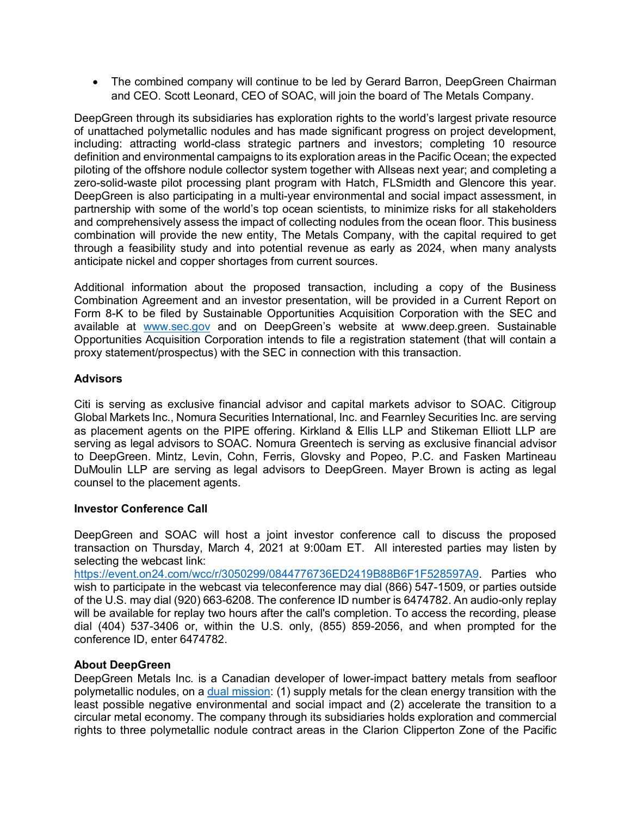• The combined company will continue to be led by Gerard Barron, DeepGreen Chairman and CEO. Scott Leonard, CEO of SOAC, will join the board of The Metals Company.

DeepGreen through its subsidiaries has exploration rights to the world's largest private resource of unattached polymetallic nodules and has made significant progress on project development, including: attracting world-class strategic partners and investors; completing 10 resource definition and environmental campaigns to its exploration areas in the Pacific Ocean; the expected piloting of the offshore nodule collector system together with Allseas next year; and completing a zero-solid-waste pilot processing plant program with Hatch, FLSmidth and Glencore this year. DeepGreen is also participating in a multi-year environmental and social impact assessment, in partnership with some of the world's top ocean scientists, to minimize risks for all stakeholders and comprehensively assess the impact of collecting nodules from the ocean floor. This business combination will provide the new entity, The Metals Company, with the capital required to get through a feasibility study and into potential revenue as early as 2024, when many analysts anticipate nickel and copper shortages from current sources.

Additional information about the proposed transaction, including a copy of the Business Combination Agreement and an investor presentation, will be provided in a Current Report on Form 8-K to be filed by Sustainable Opportunities Acquisition Corporation with the SEC and available at [www.sec.gov](https://www.sec.gov/) and on DeepGreen's website at www.deep.green. Sustainable Opportunities Acquisition Corporation intends to file a registration statement (that will contain a proxy statement/prospectus) with the SEC in connection with this transaction.

### **Advisors**

Citi is serving as exclusive financial advisor and capital markets advisor to SOAC. Citigroup Global Markets Inc., Nomura Securities International, Inc. and Fearnley Securities Inc. are serving as placement agents on the PIPE offering. Kirkland & Ellis LLP and Stikeman Elliott LLP are serving as legal advisors to SOAC. Nomura Greentech is serving as exclusive financial advisor to DeepGreen. Mintz, Levin, Cohn, Ferris, Glovsky and Popeo, P.C. and Fasken Martineau DuMoulin LLP are serving as legal advisors to DeepGreen. Mayer Brown is acting as legal counsel to the placement agents.

# **Investor Conference Call**

DeepGreen and SOAC will host a joint investor conference call to discuss the proposed transaction on Thursday, March 4, 2021 at 9:00am ET. All interested parties may listen by selecting the webcast link:

[https://event.on24.com/wcc/r/3050299/0844776736ED2419B88B6F1F528597A9.](https://nam02.safelinks.protection.outlook.com/?url=https%3A%2F%2Fevent.on24.com%2Fwcc%2Fr%2F3050299%2F0844776736ED2419B88B6F1F528597A9&data=04%7C01%7CDBerg%40SARDVERB.com%7Cd887f6fdbdaf4f4d45fb08d8de8434bd%7Cdfc7827b9c274ffbb94f96d3b0b06aa1%7C0%7C0%7C637504006696751334%7CUnknown%7CTWFpbGZsb3d8eyJWIjoiMC4wLjAwMDAiLCJQIjoiV2luMzIiLCJBTiI6Ik1haWwiLCJXVCI6Mn0%3D%7C1000&sdata=coVtllRi3x5Ja9QrWhWg8UmYzIYBTaFfeXHiM0nXp7k%3D&reserved=0) Parties who wish to participate in the webcast via teleconference may dial (866) 547-1509, or parties outside of the U.S. may dial (920) 663-6208. The conference ID number is 6474782. An audio-only replay will be available for replay two hours after the call's completion. To access the recording, please dial (404) 537-3406 or, within the U.S. only, (855) 859-2056, and when prompted for the conference ID, enter 6474782.

#### **About DeepGreen**

DeepGreen Metals Inc. is a Canadian developer of lower-impact battery metals from seafloor polymetallic nodules, on a dual [mission:](https://youtu.be/NARFBmS79Fk) (1) supply metals for the clean energy transition with the least possible negative environmental and social impact and (2) accelerate the transition to a circular metal economy. The company through its subsidiaries holds exploration and commercial rights to three polymetallic nodule contract areas in the Clarion Clipperton Zone of the Pacific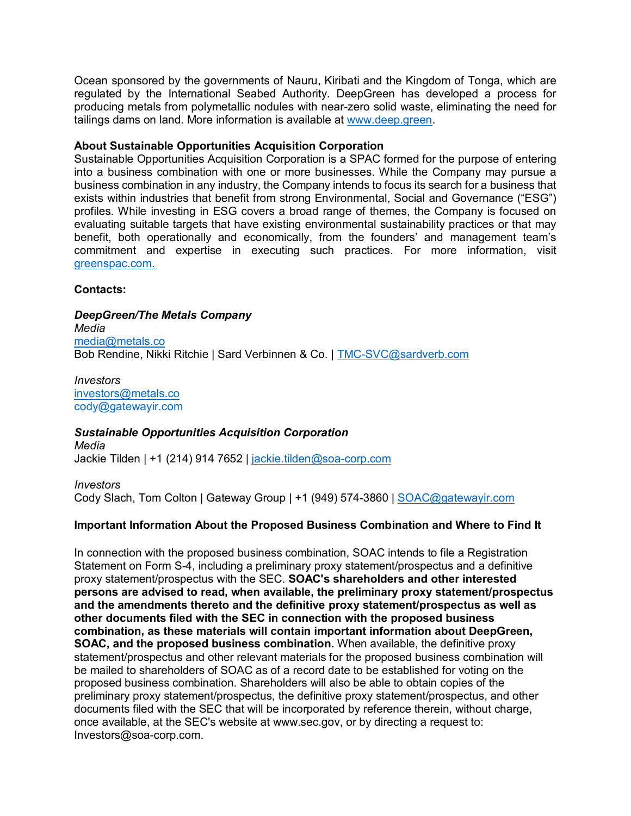Ocean sponsored by the governments of Nauru, Kiribati and the Kingdom of Tonga, which are regulated by the International Seabed Authority. DeepGreen has developed a process for producing metals from polymetallic nodules with near-zero solid waste, eliminating the need for tailings dams on land. More information is available at [www.deep.green.](http://www.deep.green/)

#### **About Sustainable Opportunities Acquisition Corporation**

Sustainable Opportunities Acquisition Corporation is a SPAC formed for the purpose of entering into a business combination with one or more businesses. While the Company may pursue a business combination in any industry, the Company intends to focus its search for a business that exists within industries that benefit from strong Environmental, Social and Governance ("ESG") profiles. While investing in ESG covers a broad range of themes, the Company is focused on evaluating suitable targets that have existing environmental sustainability practices or that may benefit, both operationally and economically, from the founders' and management team's commitment and expertise in executing such practices. For more information, visit [greenspac.com.](https://www.greenspac.com/)

### **Contacts:**

#### *DeepGreen/The Metals Company Media*

[media@metals.co](mailto:media@metals.co) Bob Rendine, Nikki Ritchie *|* Sard Verbinnen & Co. *|* [TMC-SVC@sardverb.com](mailto:TMC-SVC@sardverb.com)

*Investors* [investors@metals.co](mailto:investors@metals.co) cody@gatewayir.com

# *Sustainable Opportunities Acquisition Corporation*

*Media*  Jackie Tilden | +1 (214) 914 7652 | [jackie.tilden@soa-corp.com](mailto:jackie.tilden@soa-corp.com)

*Investors* Cody Slach, Tom Colton | Gateway Group | +1 (949) 574-3860 | [SOAC@gatewayir.com](mailto:SOAC@gatewayir.com)

# **Important Information About the Proposed Business Combination and Where to Find It**

In connection with the proposed business combination, SOAC intends to file a Registration Statement on Form S-4, including a preliminary proxy statement/prospectus and a definitive proxy statement/prospectus with the SEC. **SOAC's shareholders and other interested persons are advised to read, when available, the preliminary proxy statement/prospectus and the amendments thereto and the definitive proxy statement/prospectus as well as other documents filed with the SEC in connection with the proposed business combination, as these materials will contain important information about DeepGreen, SOAC, and the proposed business combination.** When available, the definitive proxy statement/prospectus and other relevant materials for the proposed business combination will be mailed to shareholders of SOAC as of a record date to be established for voting on the proposed business combination. Shareholders will also be able to obtain copies of the preliminary proxy statement/prospectus, the definitive proxy statement/prospectus, and other documents filed with the SEC that will be incorporated by reference therein, without charge, once available, at the SEC's website at www.sec.gov, or by directing a request to: Investors@soa-corp.com.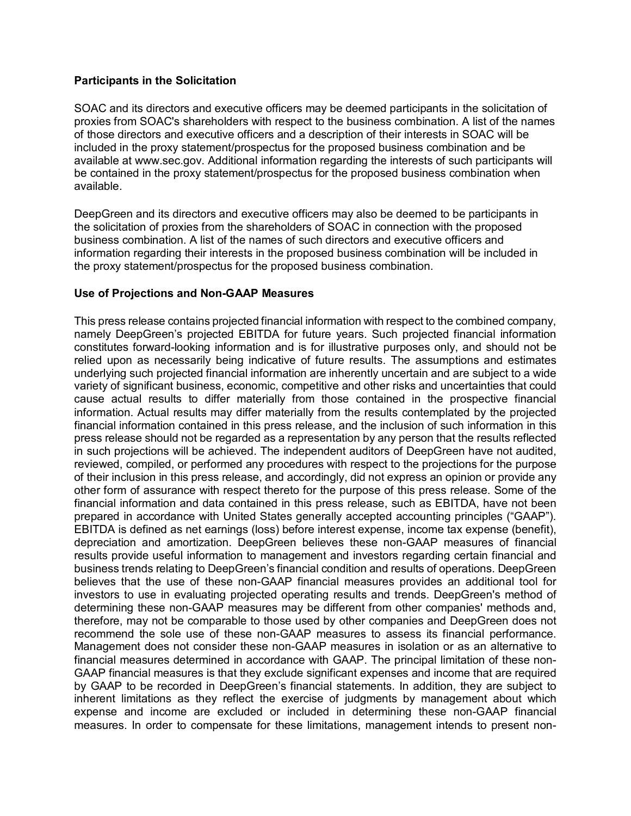### **Participants in the Solicitation**

SOAC and its directors and executive officers may be deemed participants in the solicitation of proxies from SOAC's shareholders with respect to the business combination. A list of the names of those directors and executive officers and a description of their interests in SOAC will be included in the proxy statement/prospectus for the proposed business combination and be available at www.sec.gov. Additional information regarding the interests of such participants will be contained in the proxy statement/prospectus for the proposed business combination when available.

DeepGreen and its directors and executive officers may also be deemed to be participants in the solicitation of proxies from the shareholders of SOAC in connection with the proposed business combination. A list of the names of such directors and executive officers and information regarding their interests in the proposed business combination will be included in the proxy statement/prospectus for the proposed business combination.

### **Use of Projections and Non-GAAP Measures**

This press release contains projected financial information with respect to the combined company, namely DeepGreen's projected EBITDA for future years. Such projected financial information constitutes forward-looking information and is for illustrative purposes only, and should not be relied upon as necessarily being indicative of future results. The assumptions and estimates underlying such projected financial information are inherently uncertain and are subject to a wide variety of significant business, economic, competitive and other risks and uncertainties that could cause actual results to differ materially from those contained in the prospective financial information. Actual results may differ materially from the results contemplated by the projected financial information contained in this press release, and the inclusion of such information in this press release should not be regarded as a representation by any person that the results reflected in such projections will be achieved. The independent auditors of DeepGreen have not audited, reviewed, compiled, or performed any procedures with respect to the projections for the purpose of their inclusion in this press release, and accordingly, did not express an opinion or provide any other form of assurance with respect thereto for the purpose of this press release. Some of the financial information and data contained in this press release, such as EBITDA, have not been prepared in accordance with United States generally accepted accounting principles ("GAAP"). EBITDA is defined as net earnings (loss) before interest expense, income tax expense (benefit), depreciation and amortization. DeepGreen believes these non-GAAP measures of financial results provide useful information to management and investors regarding certain financial and business trends relating to DeepGreen's financial condition and results of operations. DeepGreen believes that the use of these non-GAAP financial measures provides an additional tool for investors to use in evaluating projected operating results and trends. DeepGreen's method of determining these non-GAAP measures may be different from other companies' methods and, therefore, may not be comparable to those used by other companies and DeepGreen does not recommend the sole use of these non-GAAP measures to assess its financial performance. Management does not consider these non-GAAP measures in isolation or as an alternative to financial measures determined in accordance with GAAP. The principal limitation of these non-GAAP financial measures is that they exclude significant expenses and income that are required by GAAP to be recorded in DeepGreen's financial statements. In addition, they are subject to inherent limitations as they reflect the exercise of judgments by management about which expense and income are excluded or included in determining these non-GAAP financial measures. In order to compensate for these limitations, management intends to present non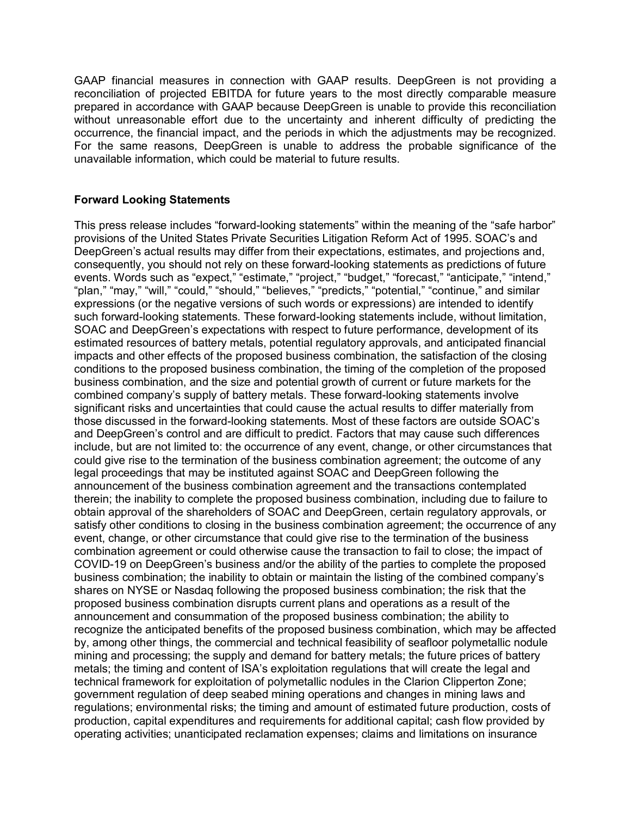GAAP financial measures in connection with GAAP results. DeepGreen is not providing a reconciliation of projected EBITDA for future years to the most directly comparable measure prepared in accordance with GAAP because DeepGreen is unable to provide this reconciliation without unreasonable effort due to the uncertainty and inherent difficulty of predicting the occurrence, the financial impact, and the periods in which the adjustments may be recognized. For the same reasons, DeepGreen is unable to address the probable significance of the unavailable information, which could be material to future results.

## **Forward Looking Statements**

This press release includes "forward-looking statements" within the meaning of the "safe harbor" provisions of the United States Private Securities Litigation Reform Act of 1995. SOAC's and DeepGreen's actual results may differ from their expectations, estimates, and projections and, consequently, you should not rely on these forward-looking statements as predictions of future events. Words such as "expect," "estimate," "project," "budget," "forecast," "anticipate," "intend," "plan," "may," "will," "could," "should," "believes," "predicts," "potential," "continue," and similar expressions (or the negative versions of such words or expressions) are intended to identify such forward-looking statements. These forward-looking statements include, without limitation, SOAC and DeepGreen's expectations with respect to future performance, development of its estimated resources of battery metals, potential regulatory approvals, and anticipated financial impacts and other effects of the proposed business combination, the satisfaction of the closing conditions to the proposed business combination, the timing of the completion of the proposed business combination, and the size and potential growth of current or future markets for the combined company's supply of battery metals. These forward-looking statements involve significant risks and uncertainties that could cause the actual results to differ materially from those discussed in the forward-looking statements. Most of these factors are outside SOAC's and DeepGreen's control and are difficult to predict. Factors that may cause such differences include, but are not limited to: the occurrence of any event, change, or other circumstances that could give rise to the termination of the business combination agreement; the outcome of any legal proceedings that may be instituted against SOAC and DeepGreen following the announcement of the business combination agreement and the transactions contemplated therein; the inability to complete the proposed business combination, including due to failure to obtain approval of the shareholders of SOAC and DeepGreen, certain regulatory approvals, or satisfy other conditions to closing in the business combination agreement; the occurrence of any event, change, or other circumstance that could give rise to the termination of the business combination agreement or could otherwise cause the transaction to fail to close; the impact of COVID-19 on DeepGreen's business and/or the ability of the parties to complete the proposed business combination; the inability to obtain or maintain the listing of the combined company's shares on NYSE or Nasdaq following the proposed business combination; the risk that the proposed business combination disrupts current plans and operations as a result of the announcement and consummation of the proposed business combination; the ability to recognize the anticipated benefits of the proposed business combination, which may be affected by, among other things, the commercial and technical feasibility of seafloor polymetallic nodule mining and processing; the supply and demand for battery metals; the future prices of battery metals; the timing and content of ISA's exploitation regulations that will create the legal and technical framework for exploitation of polymetallic nodules in the Clarion Clipperton Zone; government regulation of deep seabed mining operations and changes in mining laws and regulations; environmental risks; the timing and amount of estimated future production, costs of production, capital expenditures and requirements for additional capital; cash flow provided by operating activities; unanticipated reclamation expenses; claims and limitations on insurance